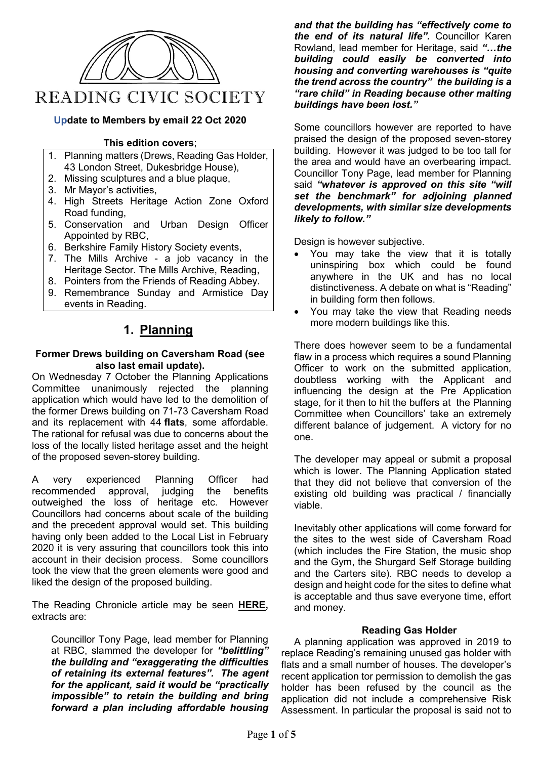

#### **Update to Members by email 22 Oct 2020**

#### **This edition covers**;

- 1. Planning matters (Drews, Reading Gas Holder, 43 London Street, Dukesbridge House),
- 2. Missing sculptures and a blue plaque,
- 3. Mr Mayor's activities,
- 4. High Streets Heritage Action Zone Oxford Road funding,
- 5. Conservation and Urban Design Officer Appointed by RBC,
- 6. Berkshire Family History Society events,
- 7. The Mills Archive a job vacancy in the Heritage Sector. The Mills Archive, Reading,
- 8. Pointers from the Friends of Reading Abbey.
- 9. Remembrance Sunday and Armistice Day events in Reading.

# **1. Planning**

#### **Former Drews building on Caversham Road (see also last email update).**

On Wednesday 7 October the Planning Applications Committee unanimously rejected the planning application which would have led to the demolition of the former Drews building on 71-73 Caversham Road and its replacement with 44 **[flats](https://www.readingchronicle.co.uk/search/?search=flats&sort=relevance&headline_only=false&site_id%5B%5D=1054&posted_date=&posted_date_from=&posted_date_to=&pp=20&p=0)**, some affordable. The rational for refusal was due to concerns about the loss of the locally listed heritage asset and the height of the proposed seven-storey building.

A very experienced Planning Officer had<br>recommended approval, judging the benefits recommended approval, judging the benefits outweighed the loss of heritage etc. However Councillors had concerns about scale of the building and the precedent approval would set. This building having only been added to the Local List in February 2020 it is very assuring that councillors took this into account in their decision process. Some councillors took the view that the green elements were good and liked the design of the proposed building.

The Reading Chronicle article may be seen **[HERE,](https://www.readingchronicle.co.uk/news/18779816.historic-locally-listed-drews-buildings-saved-demolition)**  extracts are:

Councillor Tony Page, lead member for Planning at RBC, slammed the developer for *"belittling" the building and "exaggerating the difficulties of retaining its external features". The agent for the applicant, said it would be "practically impossible" to retain the building and bring forward a plan including affordable housing*  *and that the building has "effectively come to the end of its natural life".* Councillor Karen Rowland, lead member for Heritage, said *"…the building could easily be converted into housing and converting warehouses is "quite the trend across the country" the building is a "rare child" in Reading because other malting buildings have been lost."* 

Some councillors however are reported to have praised the design of the proposed seven-storey building. However it was judged to be too tall for the area and would have an overbearing impact. Councillor Tony Page, lead member for Planning said *"whatever is approved on this site "will set the benchmark" for adjoining planned developments, with similar size developments likely to follow."*

Design is however subjective.

- You may take the view that it is totally uninspiring box which could be found anywhere in the UK and has no local distinctiveness. A debate on what is "Reading" in building form then follows.
- You may take the view that Reading needs more modern buildings like this.

There does however seem to be a fundamental flaw in a process which requires a sound Planning Officer to work on the submitted application, doubtless working with the Applicant and influencing the design at the Pre Application stage, for it then to hit the buffers at the Planning Committee when Councillors' take an extremely different balance of judgement. A victory for no one.

The developer may appeal or submit a proposal which is lower. The Planning Application stated that they did not believe that conversion of the existing old building was practical / financially viable.

Inevitably other applications will come forward for the sites to the west side of Caversham Road (which includes the Fire Station, the music shop and the Gym, the Shurgard Self Storage building and the Carters site). RBC needs to develop a design and height code for the sites to define what is acceptable and thus save everyone time, effort and money.

### **Reading Gas Holder**

A planning application was approved in 2019 to replace Reading's remaining unused gas holder with flats and a small number of houses. The developer's recent application tor permission to demolish the gas holder has been refused by the council as the application did not include a comprehensive Risk Assessment. In particular the proposal is said not to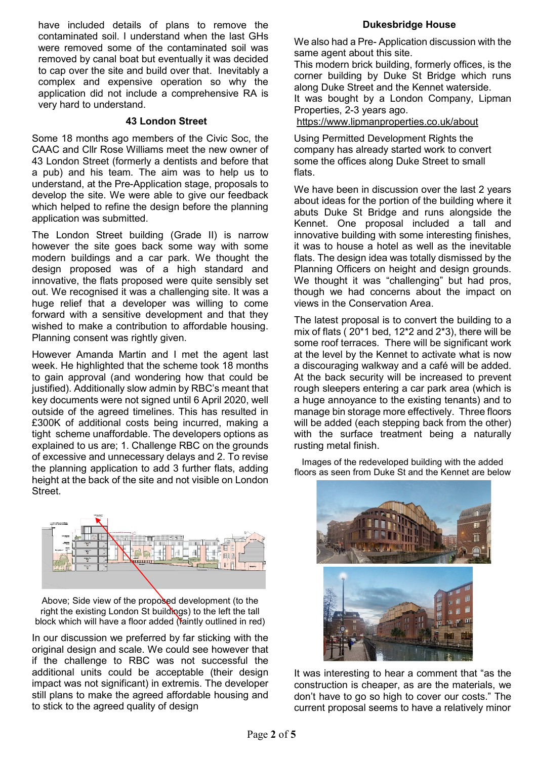have included details of plans to remove the contaminated soil. I understand when the last GHs were removed some of the contaminated soil was removed by canal boat but eventually it was decided to cap over the site and build over that. Inevitably a complex and expensive operation so why the application did not include a comprehensive RA is very hard to understand.

#### **43 London Street**

Some 18 months ago members of the Civic Soc, the CAAC and Cllr Rose Williams meet the new owner of 43 London Street (formerly a dentists and before that a pub) and his team. The aim was to help us to understand, at the Pre-Application stage, proposals to develop the site. We were able to give our feedback which helped to refine the design before the planning application was submitted.

The London Street building (Grade II) is narrow however the site goes back some way with some modern buildings and a car park. We thought the design proposed was of a high standard and innovative, the flats proposed were quite sensibly set out. We recognised it was a challenging site. It was a huge relief that a developer was willing to come forward with a sensitive development and that they wished to make a contribution to affordable housing. Planning consent was rightly given.

However Amanda Martin and I met the agent last week. He highlighted that the scheme took 18 months to gain approval (and wondering how that could be justified). Additionally slow admin by RBC's meant that key documents were not signed until 6 April 2020, well outside of the agreed timelines. This has resulted in £300K of additional costs being incurred, making a tight scheme unaffordable. The developers options as explained to us are; 1. Challenge RBC on the grounds of excessive and unnecessary delays and 2. To revise the planning application to add 3 further flats, adding height at the back of the site and not visible on London **Street** 



Above; Side view of the proposed development (to the right the existing London St buildings) to the left the tall block which will have a floor added (faintly outlined in red)

In our discussion we preferred by far sticking with the original design and scale. We could see however that if the challenge to RBC was not successful the additional units could be acceptable (their design impact was not significant) in extremis. The developer still plans to make the agreed affordable housing and to stick to the agreed quality of design

### **Dukesbridge House**

We also had a Pre- Application discussion with the same agent about this site.

This modern brick building, formerly offices, is the corner building by Duke St Bridge which runs along Duke Street and the Kennet waterside. It was bought by a London Company, Lipman

Properties, 2-3 years ago. <https://www.lipmanproperties.co.uk/about>

Using Permitted Development Rights the company has already started work to convert some the offices along Duke Street to small flats.

We have been in discussion over the last 2 years about ideas for the portion of the building where it abuts Duke St Bridge and runs alongside the Kennet. One proposal included a tall and innovative building with some interesting finishes, it was to house a hotel as well as the inevitable flats. The design idea was totally dismissed by the Planning Officers on height and design grounds. We thought it was "challenging" but had pros, though we had concerns about the impact on views in the Conservation Area.

The latest proposal is to convert the building to a mix of flats ( 20\*1 bed, 12\*2 and 2\*3), there will be some roof terraces. There will be significant work at the level by the Kennet to activate what is now a discouraging walkway and a café will be added. At the back security will be increased to prevent rough sleepers entering a car park area (which is a huge annoyance to the existing tenants) and to manage bin storage more effectively. Three floors will be added (each stepping back from the other) with the surface treatment being a naturally rusting metal finish.

Images of the redeveloped building with the added floors as seen from Duke St and the Kennet are below



It was interesting to hear a comment that "as the construction is cheaper, as are the materials, we don't have to go so high to cover our costs." The current proposal seems to have a relatively minor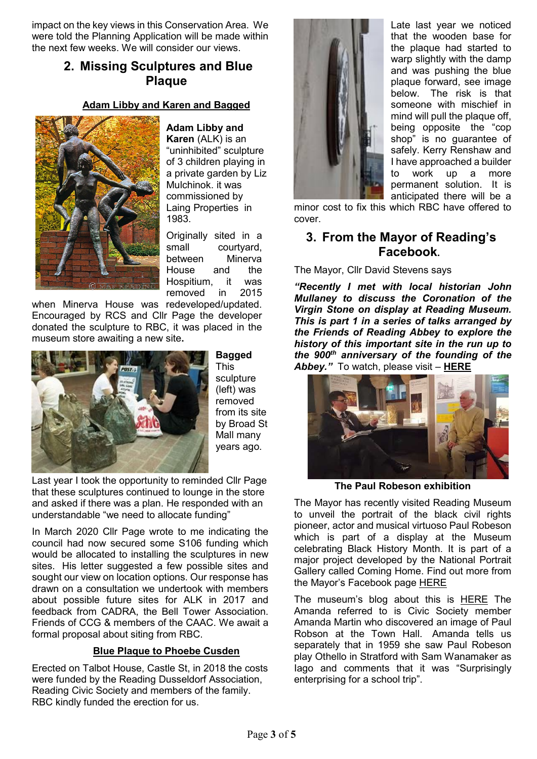impact on the key views in this Conservation Area. We were told the Planning Application will be made within the next few weeks. We will consider our views.

# **2. Missing Sculptures and Blue Plaque**

### **Adam Libby and Karen and Bagged**



**Adam Libby and Karen** (ALK) is an "uninhibited" sculpture of 3 children playing in a private garden by Liz Mulchinok. it was commissioned by Laing Properties in 1983.

Originally sited in a small courtyard, between Minerva House and the Hospitium, it was removed in

when Minerva House was redeveloped/updated. Encouraged by RCS and Cllr Page the developer donated the sculpture to RBC, it was placed in the museum store awaiting a new site**.**



This sculpture (left) was removed from its site by Broad St Mall many years ago.

**Bagged**

Last year I took the opportunity to reminded Cllr Page that these sculptures continued to lounge in the store and asked if there was a plan. He responded with an understandable "we need to allocate funding"

In March 2020 Cllr Page wrote to me indicating the council had now secured some S106 funding which would be allocated to installing the sculptures in new sites. His letter suggested a few possible sites and sought our view on location options. Our response has drawn on a consultation we undertook with members about possible future sites for ALK in 2017 and feedback from CADRA, the Bell Tower Association. Friends of CCG & members of the CAAC. We await a formal proposal about siting from RBC.

## **Blue Plaque to Phoebe Cusden**

Erected on Talbot House, Castle St, in 2018 the costs were funded by the Reading Dusseldorf Association, Reading Civic Society and members of the family. RBC kindly funded the erection for us.



Late last year we noticed that the wooden base for the plaque had started to warp slightly with the damp and was pushing the blue plaque forward, see image below. The risk is that someone with mischief in mind will pull the plaque off. being opposite the "cop shop" is no guarantee of safely. Kerry Renshaw and I have approached a builder to work up a more permanent solution. It is anticipated there will be a

minor cost to fix this which RBC have offered to cover.

# **3. From the Mayor of Reading's Facebook.**

The Mayor, Cllr David Stevens says

*"Recently I met with local historian John Mullaney to discuss the Coronation of the Virgin Stone on display at Reading Museum. This is part 1 in a series of talks arranged by the Friends of Reading Abbey to explore the history of this important site in the run up to the 900th anniversary of the founding of the Abbey."* To watch, please visit – **[HERE](https://www.youtube.com/watch?v=7ZX1iKQp9mQ)**



**The Paul Robeson exhibition**

The Mayor has recently visited Reading Museum to unveil the portrait of the black civil rights pioneer, actor and musical virtuoso Paul Robeson which is part of a display at the Museum celebrating Black History Month. It is part of a major project developed by [the National Portrait](https://www.facebook.com/National-Portrait-Gallery-London-112601342084541/?__cft__%5b0%5d=AZWRg3udtygWbVxZrLVSGAMEqAxQLsXovMxw_0MB1YFZZnCZ0oI5Zud8HwJzx8vKyzooxnvuLtemBYIlmjVZ1EUKsrZInGTIFUMKNfdyEP4SfsiisMo08a1O08JZ_ntXRXhWQyj-AGB8_bMdPyUR4HDqZ1slcS_FL5rFcY9h-d38G1agj7sbu7NsKq3ZgpHODko&__tn__=kK-R)  [Gallery called](https://www.facebook.com/National-Portrait-Gallery-London-112601342084541/?__cft__%5b0%5d=AZWRg3udtygWbVxZrLVSGAMEqAxQLsXovMxw_0MB1YFZZnCZ0oI5Zud8HwJzx8vKyzooxnvuLtemBYIlmjVZ1EUKsrZInGTIFUMKNfdyEP4SfsiisMo08a1O08JZ_ntXRXhWQyj-AGB8_bMdPyUR4HDqZ1slcS_FL5rFcY9h-d38G1agj7sbu7NsKq3ZgpHODko&__tn__=kK-R) Coming Home. Find out more from the Mayor's Facebook page [HERE](https://www.facebook.com/mayorofreading/posts/3539041739485674)

The museum's blog about this is [HERE](https://www.readingmuseum.org.uk/blog/robeson-reading-coming-home-project) The Amanda referred to is Civic Society member Amanda Martin who discovered an image of Paul Robson at the Town Hall. Amanda tells us separately that in 1959 she saw Paul Robeson play Othello in Stratford with Sam Wanamaker as Iago and comments that it was "Surprisingly enterprising for a school trip".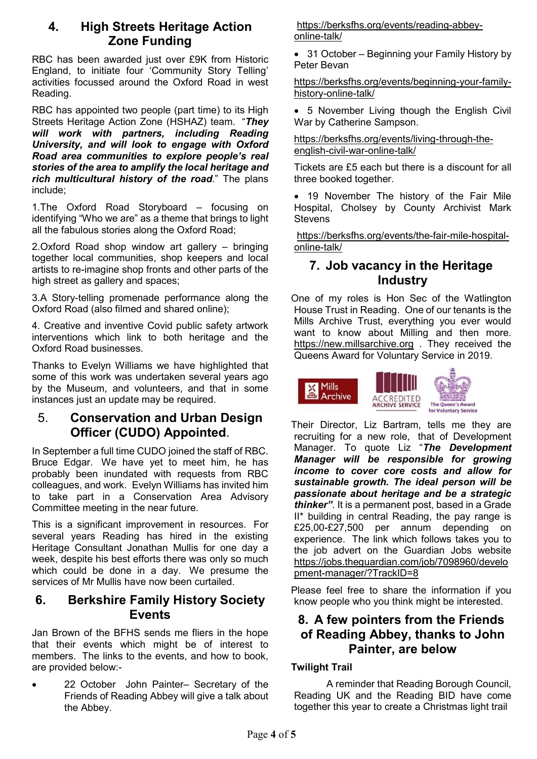# **4. High Streets Heritage Action Zone Funding**

RBC has been awarded just over £9K from Historic England, to initiate four 'Community Story Telling' activities focussed around the Oxford Road in west Reading.

RBC has appointed two people (part time) to its High Streets Heritage Action Zone (HSHAZ) team. "*They will work with partners, including Reading University, and will look to engage with Oxford Road area communities to explore people's real stories of the area to amplify the local heritage and rich multicultural history of the road*." The plans include;

1.The Oxford Road Storyboard – focusing on identifying "Who we are" as a theme that brings to light all the fabulous stories along the Oxford Road;

2.Oxford Road shop window art gallery – bringing together local communities, shop keepers and local artists to re-imagine shop fronts and other parts of the high street as gallery and spaces;

3.A Story-telling promenade performance along the Oxford Road (also filmed and shared online);

4. Creative and inventive Covid public safety artwork interventions which link to both heritage and the Oxford Road businesses.

Thanks to Evelyn Williams we have highlighted that some of this work was undertaken several years ago by the Museum, and volunteers, and that in some instances just an update may be required.

# 5. **Conservation and Urban Design Officer (CUDO) Appointed**.

In September a full time CUDO joined the staff of RBC. Bruce Edgar. We have yet to meet him, he has probably been inundated with requests from RBC colleagues, and work. Evelyn Williams has invited him to take part in a Conservation Area Advisory Committee meeting in the near future.

This is a significant improvement in resources. For several years Reading has hired in the existing Heritage Consultant Jonathan Mullis for one day a week, despite his best efforts there was only so much which could be done in a day. We presume the services of Mr Mullis have now been curtailed.

# **6. Berkshire Family History Society Events**

Jan Brown of the BFHS sends me fliers in the hope that their events which might be of interest to members. The links to the events, and how to book, are provided below:-

• 22 October John Painter– Secretary of the Friends of Reading Abbey will give a talk about the Abbey.

[https://berksfhs.org/events/reading-abbey](https://berksfhs.org/events/reading-abbey-online-talk/)[online-talk/](https://berksfhs.org/events/reading-abbey-online-talk/)

• 31 October – Beginning your Family History by Peter Bevan

[https://berksfhs.org/events/beginning-your-family](https://berksfhs.org/events/beginning-your-family-history-online-talk/)[history-online-talk/](https://berksfhs.org/events/beginning-your-family-history-online-talk/)

• 5 November Living though the English Civil War by Catherine Sampson.

[https://berksfhs.org/events/living-through-the](https://berksfhs.org/events/living-through-the-english-civil-war-online-talk/)[english-civil-war-online-talk/](https://berksfhs.org/events/living-through-the-english-civil-war-online-talk/)

Tickets are £5 each but there is a discount for all three booked together.

• 19 November The history of the Fair Mile Hospital, Cholsey by County Archivist Mark **Stevens** 

[https://berksfhs.org/events/the-fair-mile-hospital](https://nam02.safelinks.protection.outlook.com/?url=https%3A%2F%2Fberksfhs.org%2Fevents%2Fthe-fair-mile-hospital-online-talk%2F&data=02%7C01%7C%7Ce7a52966e46448a169f708d86b939565%7C84df9e7fe9f640afb435aaaaaaaaaaaa%7C1%7C0%7C637377628962165380&sdata=oOUGAbxUo%2FqSqfX13Sz5QOwtJPBSdiQR%2B0oApFKBWHU%3D&reserved=0)[online-talk/](https://nam02.safelinks.protection.outlook.com/?url=https%3A%2F%2Fberksfhs.org%2Fevents%2Fthe-fair-mile-hospital-online-talk%2F&data=02%7C01%7C%7Ce7a52966e46448a169f708d86b939565%7C84df9e7fe9f640afb435aaaaaaaaaaaa%7C1%7C0%7C637377628962165380&sdata=oOUGAbxUo%2FqSqfX13Sz5QOwtJPBSdiQR%2B0oApFKBWHU%3D&reserved=0)

# **7. Job vacancy in the Heritage Industry**

One of my roles is Hon Sec of the Watlington House Trust in Reading. One of our tenants is the Mills Archive Trust, everything you ever would want to know about Milling and then more. [https://new.millsarchive.org](https://new.millsarchive.org/) . They received the Queens Award for Voluntary Service in 2019.



Their Director, Liz Bartram, tells me they are recruiting for a new role, that of Development Manager. To quote Liz "*The Development Manager will be responsible for growing income to cover core costs and allow for sustainable growth. The ideal person will be passionate about heritage and be a strategic thinker"*. It is a permanent post, based in a Grade II\* building in central Reading, the pay range is £25,00-£27,500 per annum depending on experience. The link which follows takes you to the job advert on the Guardian Jobs website [https://jobs.theguardian.com/job/7098960/develo](https://eur05.safelinks.protection.outlook.com/?url=https%3A%2F%2Fjobs.theguardian.com%2Fjob%2F7098960%2Fdevelopment-manager%2F%3FTrackID%3D8&data=04%7C01%7C%7Cae6eaa3333e24fa4002208d875c4e083%7C84df9e7fe9f640afb435aaaaaaaaaaaa%7C1%7C0%7C637388835720715662%7CUnknown%7CTWFpbGZsb3d8eyJWIjoiMC4wLjAwMDAiLCJQIjoiV2luMzIiLCJBTiI6Ik1haWwiLCJXVCI6Mn0%3D%7C1000&sdata=cDPW5Q0p5xnZmcMJwTeT%2FlCdLJEL9C7qyKsJBmVLaqc%3D&reserved=0) [pment-manager/?TrackID=8](https://eur05.safelinks.protection.outlook.com/?url=https%3A%2F%2Fjobs.theguardian.com%2Fjob%2F7098960%2Fdevelopment-manager%2F%3FTrackID%3D8&data=04%7C01%7C%7Cae6eaa3333e24fa4002208d875c4e083%7C84df9e7fe9f640afb435aaaaaaaaaaaa%7C1%7C0%7C637388835720715662%7CUnknown%7CTWFpbGZsb3d8eyJWIjoiMC4wLjAwMDAiLCJQIjoiV2luMzIiLCJBTiI6Ik1haWwiLCJXVCI6Mn0%3D%7C1000&sdata=cDPW5Q0p5xnZmcMJwTeT%2FlCdLJEL9C7qyKsJBmVLaqc%3D&reserved=0)

Please feel free to share the information if you know people who you think might be interested.

# **8. A few pointers from the Friends of Reading Abbey, thanks to John Painter, are below**

## **Twilight Trail**

A reminder that Reading Borough Council, Reading UK and the Reading BID have come together this year to create a Christmas light trail